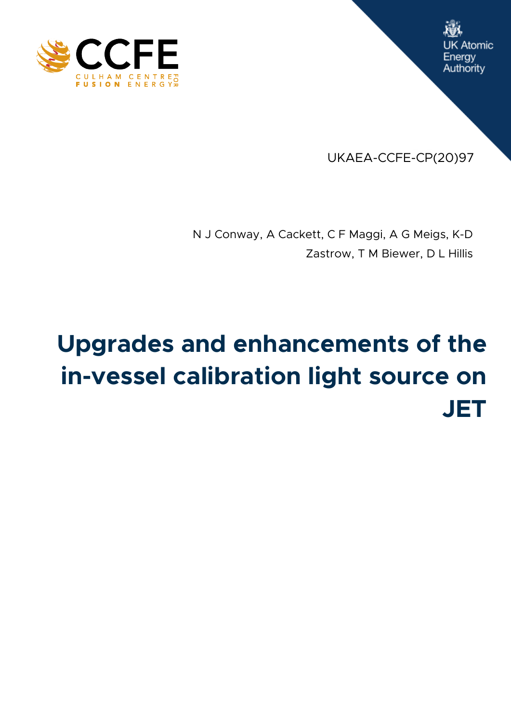



UKAEA-CCFE-CP(20)97

N J Conway, A Cackett, C F Maggi, A G Meigs, K-D Zastrow, T M Biewer, D L Hillis

# **Upgrades and enhancements of the in-vessel calibration light source on JET**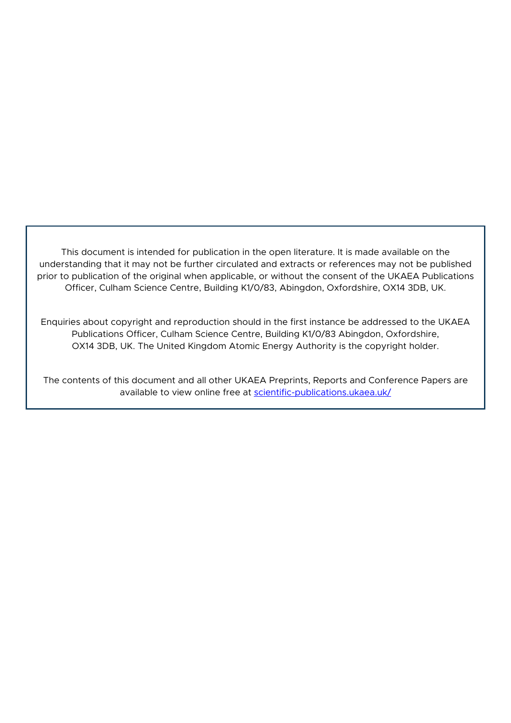This document is intended for publication in the open literature. It is made available on the understanding that it may not be further circulated and extracts or references may not be published prior to publication of the original when applicable, or without the consent of the UKAEA Publications Officer, Culham Science Centre, Building K1/0/83, Abingdon, Oxfordshire, OX14 3DB, UK.

Enquiries about copyright and reproduction should in the first instance be addressed to the UKAEA Publications Officer, Culham Science Centre, Building K1/0/83 Abingdon, Oxfordshire, OX14 3DB, UK. The United Kingdom Atomic Energy Authority is the copyright holder.

The contents of this document and all other UKAEA Preprints, Reports and Conference Papers are available to view online free at [scientific-publications.ukaea.uk/](https://scientific-publications.ukaea.uk/)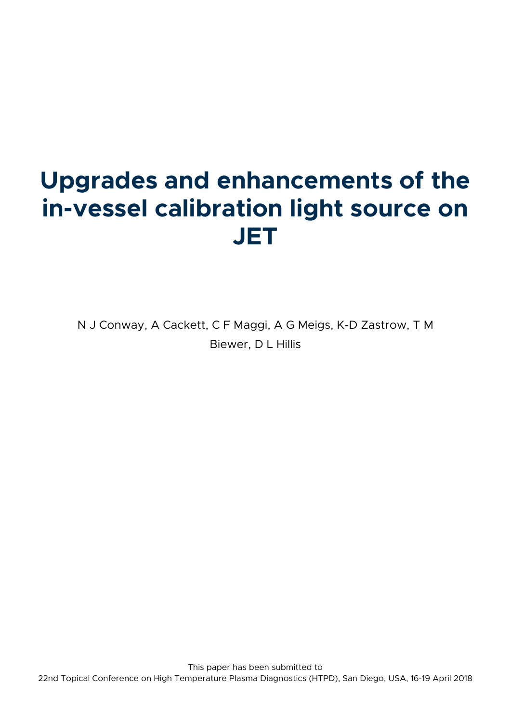## **Upgrades and enhancements of the in-vessel calibration light source on JET**

N J Conway, A Cackett, C F Maggi, A G Meigs, K-D Zastrow, T M Biewer, D L Hillis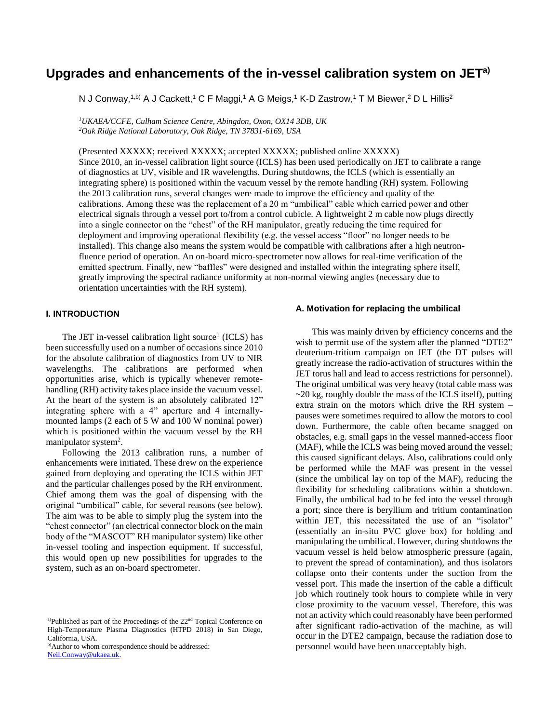### **Upgrades and enhancements of the in-vessel calibration system on JETa)**

N J Conway,1<sup>,b)</sup> A J Cackett,1 C F Maggi,1 A G Meigs,1 K-D Zastrow,1 T M Biewer,<sup>2</sup> D L Hillis<sup>2</sup>

*<sup>1</sup>UKAEA/CCFE, Culham Science Centre, Abingdon, Oxon, OX14 3DB, UK <sup>2</sup>Oak Ridge National Laboratory, Oak Ridge, TN 37831-6169, USA*

(Presented XXXXX; received XXXXX; accepted XXXXX; published online XXXXX) Since 2010, an in-vessel calibration light source (ICLS) has been used periodically on JET to calibrate a range of diagnostics at UV, visible and IR wavelengths. During shutdowns, the ICLS (which is essentially an integrating sphere) is positioned within the vacuum vessel by the remote handling (RH) system. Following the 2013 calibration runs, several changes were made to improve the efficiency and quality of the calibrations. Among these was the replacement of a 20 m "umbilical" cable which carried power and other electrical signals through a vessel port to/from a control cubicle. A lightweight 2 m cable now plugs directly into a single connector on the "chest" of the RH manipulator, greatly reducing the time required for deployment and improving operational flexibility (e.g. the vessel access "floor" no longer needs to be installed). This change also means the system would be compatible with calibrations after a high neutronfluence period of operation. An on-board micro-spectrometer now allows for real-time verification of the emitted spectrum. Finally, new "baffles" were designed and installed within the integrating sphere itself, greatly improving the spectral radiance uniformity at non-normal viewing angles (necessary due to orientation uncertainties with the RH system).

#### **I. INTRODUCTION**

The JET in-vessel calibration light source<sup>1</sup> (ICLS) has been successfully used on a number of occasions since 2010 for the absolute calibration of diagnostics from UV to NIR wavelengths. The calibrations are performed when opportunities arise, which is typically whenever remotehandling (RH) activity takes place inside the vacuum vessel. At the heart of the system is an absolutely calibrated 12" integrating sphere with a 4" aperture and 4 internallymounted lamps (2 each of 5 W and 100 W nominal power) which is positioned within the vacuum vessel by the RH manipulator system<sup>2</sup>.

Following the 2013 calibration runs, a number of enhancements were initiated. These drew on the experience gained from deploying and operating the ICLS within JET and the particular challenges posed by the RH environment. Chief among them was the goal of dispensing with the original "umbilical" cable, for several reasons (see below). The aim was to be able to simply plug the system into the "chest connector" (an electrical connector block on the main body of the "MASCOT" RH manipulator system) like other in-vessel tooling and inspection equipment. If successful, this would open up new possibilities for upgrades to the system, such as an on-board spectrometer.

b)Author to whom correspondence should be addressed: [Neil.Conway@ukaea.uk.](mailto:Neil.Conway@ukaea.uk)

#### **A. Motivation for replacing the umbilical**

This was mainly driven by efficiency concerns and the wish to permit use of the system after the planned "DTE2" deuterium-tritium campaign on JET (the DT pulses will greatly increase the radio-activation of structures within the JET torus hall and lead to access restrictions for personnel). The original umbilical was very heavy (total cable mass was  $\sim$ 20 kg, roughly double the mass of the ICLS itself), putting extra strain on the motors which drive the RH system – pauses were sometimes required to allow the motors to cool down. Furthermore, the cable often became snagged on obstacles, e.g. small gaps in the vessel manned-access floor (MAF), while the ICLS was being moved around the vessel; this caused significant delays. Also, calibrations could only be performed while the MAF was present in the vessel (since the umbilical lay on top of the MAF), reducing the flexibility for scheduling calibrations within a shutdown. Finally, the umbilical had to be fed into the vessel through a port; since there is beryllium and tritium contamination within JET, this necessitated the use of an "isolator" (essentially an in-situ PVC glove box) for holding and manipulating the umbilical. However, during shutdowns the vacuum vessel is held below atmospheric pressure (again, to prevent the spread of contamination), and thus isolators collapse onto their contents under the suction from the vessel port. This made the insertion of the cable a difficult job which routinely took hours to complete while in very close proximity to the vacuum vessel. Therefore, this was not an activity which could reasonably have been performed after significant radio-activation of the machine, as will occur in the DTE2 campaign, because the radiation dose to personnel would have been unacceptably high.

a)Published as part of the Proceedings of the  $22<sup>nd</sup>$  Topical Conference on High-Temperature Plasma Diagnostics (HTPD 2018) in San Diego, California, USA.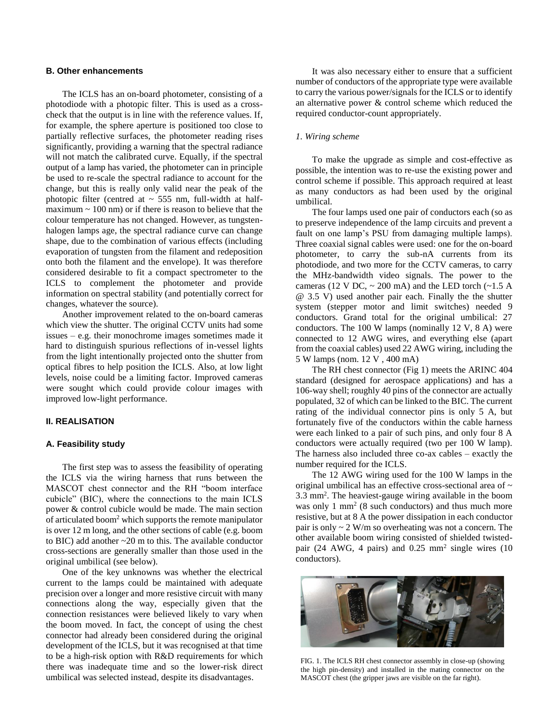#### **B. Other enhancements**

The ICLS has an on-board photometer, consisting of a photodiode with a photopic filter. This is used as a crosscheck that the output is in line with the reference values. If, for example, the sphere aperture is positioned too close to partially reflective surfaces, the photometer reading rises significantly, providing a warning that the spectral radiance will not match the calibrated curve. Equally, if the spectral output of a lamp has varied, the photometer can in principle be used to re-scale the spectral radiance to account for the change, but this is really only valid near the peak of the photopic filter (centred at  $\sim$  555 nm, full-width at halfmaximum  $\sim$  100 nm) or if there is reason to believe that the colour temperature has not changed. However, as tungstenhalogen lamps age, the spectral radiance curve can change shape, due to the combination of various effects (including evaporation of tungsten from the filament and redeposition onto both the filament and the envelope). It was therefore considered desirable to fit a compact spectrometer to the ICLS to complement the photometer and provide information on spectral stability (and potentially correct for changes, whatever the source).

Another improvement related to the on-board cameras which view the shutter. The original CCTV units had some issues – e.g. their monochrome images sometimes made it hard to distinguish spurious reflections of in-vessel lights from the light intentionally projected onto the shutter from optical fibres to help position the ICLS. Also, at low light levels, noise could be a limiting factor. Improved cameras were sought which could provide colour images with improved low-light performance.

#### **II. REALISATION**

#### **A. Feasibility study**

The first step was to assess the feasibility of operating the ICLS via the wiring harness that runs between the MASCOT chest connector and the RH "boom interface cubicle" (BIC), where the connections to the main ICLS power & control cubicle would be made. The main section of articulated boom<sup>2</sup> which supports the remote manipulator is over 12 m long, and the other sections of cable (e.g. boom to BIC) add another ~20 m to this. The available conductor cross-sections are generally smaller than those used in the original umbilical (see below).

One of the key unknowns was whether the electrical current to the lamps could be maintained with adequate precision over a longer and more resistive circuit with many connections along the way, especially given that the connection resistances were believed likely to vary when the boom moved. In fact, the concept of using the chest connector had already been considered during the original development of the ICLS, but it was recognised at that time to be a high-risk option with R&D requirements for which there was inadequate time and so the lower-risk direct umbilical was selected instead, despite its disadvantages.

It was also necessary either to ensure that a sufficient number of conductors of the appropriate type were available to carry the various power/signals for the ICLS or to identify an alternative power & control scheme which reduced the required conductor-count appropriately.

#### *1. Wiring scheme*

To make the upgrade as simple and cost-effective as possible, the intention was to re-use the existing power and control scheme if possible. This approach required at least as many conductors as had been used by the original umbilical.

The four lamps used one pair of conductors each (so as to preserve independence of the lamp circuits and prevent a fault on one lamp's PSU from damaging multiple lamps). Three coaxial signal cables were used: one for the on-board photometer, to carry the sub-nA currents from its photodiode, and two more for the CCTV cameras, to carry the MHz-bandwidth video signals. The power to the cameras (12 V DC,  $\sim$  200 mA) and the LED torch ( $\sim$ 1.5 A @ 3.5 V) used another pair each. Finally the the shutter system (stepper motor and limit switches) needed 9 conductors. Grand total for the original umbilical: 27 conductors. The 100 W lamps (nominally 12 V, 8 A) were connected to 12 AWG wires, and everything else (apart from the coaxial cables) used 22 AWG wiring, including the 5 W lamps (nom. 12 V , 400 mA)

The RH chest connector (Fig 1) meets the ARINC 404 standard (designed for aerospace applications) and has a 106-way shell; roughly 40 pins of the connector are actually populated, 32 of which can be linked to the BIC. The current rating of the individual connector pins is only 5 A, but fortunately five of the conductors within the cable harness were each linked to a pair of such pins, and only four 8 A conductors were actually required (two per 100 W lamp). The harness also included three co-ax cables – exactly the number required for the ICLS.

The 12 AWG wiring used for the 100 W lamps in the original umbilical has an effective cross-sectional area of ~ 3.3 mm<sup>2</sup> . The heaviest-gauge wiring available in the boom was only 1  $mm<sup>2</sup>$  (8 such conductors) and thus much more resistive, but at 8 A the power dissipation in each conductor pair is only  $\sim$  2 W/m so overheating was not a concern. The other available boom wiring consisted of shielded twistedpair (24 AWG, 4 pairs) and  $0.25$  mm<sup>2</sup> single wires (10 conductors).



FIG. 1. The ICLS RH chest connector assembly in close-up (showing the high pin-density) and installed in the mating connector on the MASCOT chest (the gripper jaws are visible on the far right).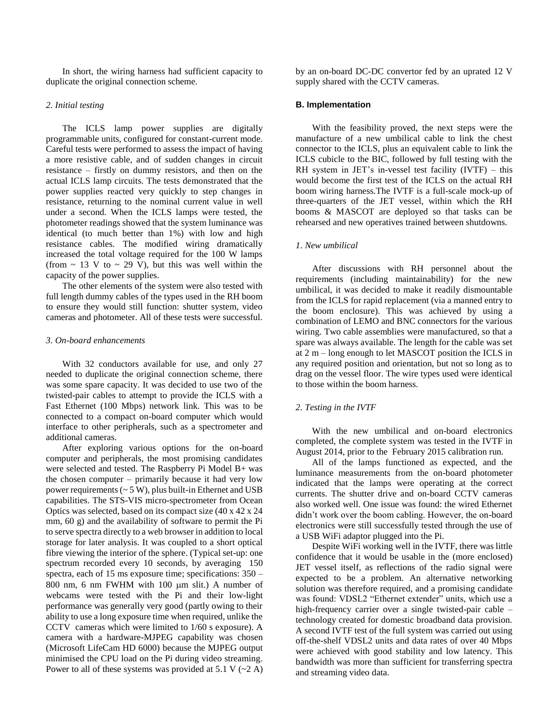In short, the wiring harness had sufficient capacity to duplicate the original connection scheme.

#### *2. Initial testing*

The ICLS lamp power supplies are digitally programmable units, configured for constant-current mode. Careful tests were performed to assess the impact of having a more resistive cable, and of sudden changes in circuit resistance – firstly on dummy resistors, and then on the actual ICLS lamp circuits. The tests demonstrated that the power supplies reacted very quickly to step changes in resistance, returning to the nominal current value in well under a second. When the ICLS lamps were tested, the photometer readings showed that the system luminance was identical (to much better than 1%) with low and high resistance cables. The modified wiring dramatically increased the total voltage required for the 100 W lamps (from  $\sim$  13 V to  $\sim$  29 V), but this was well within the capacity of the power supplies.

The other elements of the system were also tested with full length dummy cables of the types used in the RH boom to ensure they would still function: shutter system, video cameras and photometer. All of these tests were successful.

#### *3. On-board enhancements*

With 32 conductors available for use, and only 27 needed to duplicate the original connection scheme, there was some spare capacity. It was decided to use two of the twisted-pair cables to attempt to provide the ICLS with a Fast Ethernet (100 Mbps) network link. This was to be connected to a compact on-board computer which would interface to other peripherals, such as a spectrometer and additional cameras.

After exploring various options for the on-board computer and peripherals, the most promising candidates were selected and tested. The Raspberry Pi Model B+ was the chosen computer – primarily because it had very low power requirements  $({\sim} 5 \text{ W})$ , plus built-in Ethernet and USB capabilities. The STS-VIS micro-spectrometer from Ocean Optics was selected, based on its compact size (40 x 42 x 24 mm, 60 g) and the availability of software to permit the Pi to serve spectra directly to a web browser in addition to local storage for later analysis. It was coupled to a short optical fibre viewing the interior of the sphere. (Typical set-up: one spectrum recorded every 10 seconds, by averaging 150 spectra, each of 15 ms exposure time; specifications: 350 – 800 nm, 6 nm FWHM with 100  $\mu$ m slit.) A number of webcams were tested with the Pi and their low-light performance was generally very good (partly owing to their ability to use a long exposure time when required, unlike the CCTV cameras which were limited to 1/60 s exposure). A camera with a hardware-MJPEG capability was chosen (Microsoft LifeCam HD 6000) because the MJPEG output minimised the CPU load on the Pi during video streaming. Power to all of these systems was provided at 5.1 V  $(\sim 2 \text{ A})$  by an on-board DC-DC convertor fed by an uprated 12 V supply shared with the CCTV cameras.

#### **B. Implementation**

With the feasibility proved, the next steps were the manufacture of a new umbilical cable to link the chest connector to the ICLS, plus an equivalent cable to link the ICLS cubicle to the BIC, followed by full testing with the RH system in JET's in-vessel test facility (IVTF) – this would become the first test of the ICLS on the actual RH boom wiring harness.The IVTF is a full-scale mock-up of three-quarters of the JET vessel, within which the RH booms & MASCOT are deployed so that tasks can be rehearsed and new operatives trained between shutdowns.

#### *1. New umbilical*

After discussions with RH personnel about the requirements (including maintainability) for the new umbilical, it was decided to make it readily dismountable from the ICLS for rapid replacement (via a manned entry to the boom enclosure). This was achieved by using a combination of LEMO and BNC connectors for the various wiring. Two cable assemblies were manufactured, so that a spare was always available. The length for the cable was set at 2 m – long enough to let MASCOT position the ICLS in any required position and orientation, but not so long as to drag on the vessel floor. The wire types used were identical to those within the boom harness.

#### *2. Testing in the IVTF*

With the new umbilical and on-board electronics completed, the complete system was tested in the IVTF in August 2014, prior to the February 2015 calibration run.

All of the lamps functioned as expected, and the luminance measurements from the on-board photometer indicated that the lamps were operating at the correct currents. The shutter drive and on-board CCTV cameras also worked well. One issue was found: the wired Ethernet didn't work over the boom cabling. However, the on-board electronics were still successfully tested through the use of a USB WiFi adaptor plugged into the Pi.

Despite WiFi working well in the IVTF, there was little confidence that it would be usable in the (more enclosed) JET vessel itself, as reflections of the radio signal were expected to be a problem. An alternative networking solution was therefore required, and a promising candidate was found: VDSL2 "Ethernet extender" units, which use a high-frequency carrier over a single twisted-pair cable – technology created for domestic broadband data provision. A second IVTF test of the full system was carried out using off-the-shelf VDSL2 units and data rates of over 40 Mbps were achieved with good stability and low latency. This bandwidth was more than sufficient for transferring spectra and streaming video data.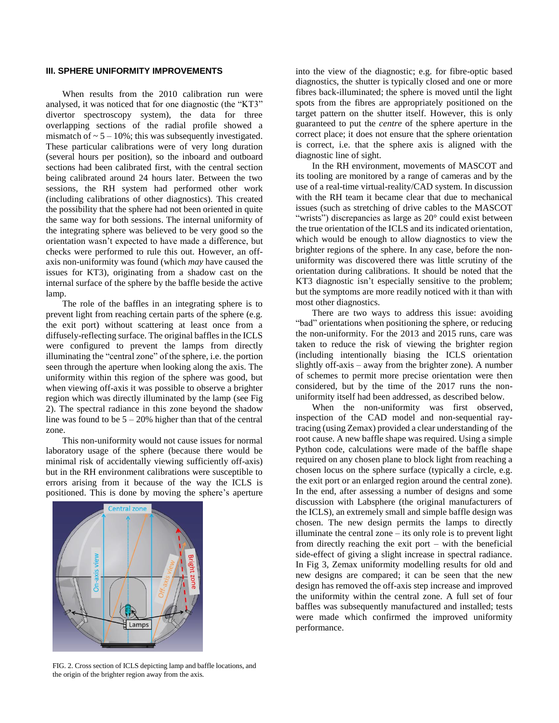#### **III. SPHERE UNIFORMITY IMPROVEMENTS**

When results from the 2010 calibration run were analysed, it was noticed that for one diagnostic (the "KT3" divertor spectroscopy system), the data for three overlapping sections of the radial profile showed a mismatch of  $\sim$  5 – 10%; this was subsequently investigated. These particular calibrations were of very long duration (several hours per position), so the inboard and outboard sections had been calibrated first, with the central section being calibrated around 24 hours later. Between the two sessions, the RH system had performed other work (including calibrations of other diagnostics). This created the possibility that the sphere had not been oriented in quite the same way for both sessions. The internal uniformity of the integrating sphere was believed to be very good so the orientation wasn't expected to have made a difference, but checks were performed to rule this out. However, an offaxis non-uniformity was found (which *may* have caused the issues for KT3), originating from a shadow cast on the internal surface of the sphere by the baffle beside the active lamp.

The role of the baffles in an integrating sphere is to prevent light from reaching certain parts of the sphere (e.g. the exit port) without scattering at least once from a diffusely-reflecting surface. The original baffles in the ICLS were configured to prevent the lamps from directly illuminating the "central zone" of the sphere, i.e. the portion seen through the aperture when looking along the axis. The uniformity within this region of the sphere was good, but when viewing off-axis it was possible to observe a brighter region which was directly illuminated by the lamp (see Fig 2). The spectral radiance in this zone beyond the shadow line was found to be  $5 - 20\%$  higher than that of the central zone.

This non-uniformity would not cause issues for normal laboratory usage of the sphere (because there would be minimal risk of accidentally viewing sufficiently off-axis) but in the RH environment calibrations were susceptible to errors arising from it because of the way the ICLS is positioned. This is done by moving the sphere's aperture



FIG. 2. Cross section of ICLS depicting lamp and baffle locations, and the origin of the brighter region away from the axis.

into the view of the diagnostic; e.g. for fibre-optic based diagnostics, the shutter is typically closed and one or more fibres back-illuminated; the sphere is moved until the light spots from the fibres are appropriately positioned on the target pattern on the shutter itself. However, this is only guaranteed to put the *centre* of the sphere aperture in the correct place; it does not ensure that the sphere orientation is correct, i.e. that the sphere axis is aligned with the diagnostic line of sight.

In the RH environment, movements of MASCOT and its tooling are monitored by a range of cameras and by the use of a real-time virtual-reality/CAD system. In discussion with the RH team it became clear that due to mechanical issues (such as stretching of drive cables to the MASCOT "wrists") discrepancies as large as 20° could exist between the true orientation of the ICLS and its indicated orientation, which would be enough to allow diagnostics to view the brighter regions of the sphere. In any case, before the nonuniformity was discovered there was little scrutiny of the orientation during calibrations. It should be noted that the KT3 diagnostic isn't especially sensitive to the problem; but the symptoms are more readily noticed with it than with most other diagnostics.

There are two ways to address this issue: avoiding "bad" orientations when positioning the sphere, or reducing the non-uniformity. For the 2013 and 2015 runs, care was taken to reduce the risk of viewing the brighter region (including intentionally biasing the ICLS orientation slightly off-axis – away from the brighter zone). A number of schemes to permit more precise orientation were then considered, but by the time of the 2017 runs the nonuniformity itself had been addressed, as described below.

When the non-uniformity was first observed, inspection of the CAD model and non-sequential raytracing (using Zemax) provided a clear understanding of the root cause. A new baffle shape was required. Using a simple Python code, calculations were made of the baffle shape required on any chosen plane to block light from reaching a chosen locus on the sphere surface (typically a circle, e.g. the exit port or an enlarged region around the central zone). In the end, after assessing a number of designs and some discussion with Labsphere (the original manufacturers of the ICLS), an extremely small and simple baffle design was chosen. The new design permits the lamps to directly illuminate the central zone – its only role is to prevent light from directly reaching the exit port – with the beneficial side-effect of giving a slight increase in spectral radiance. In Fig 3, Zemax uniformity modelling results for old and new designs are compared; it can be seen that the new design has removed the off-axis step increase and improved the uniformity within the central zone. A full set of four baffles was subsequently manufactured and installed; tests were made which confirmed the improved uniformity performance.